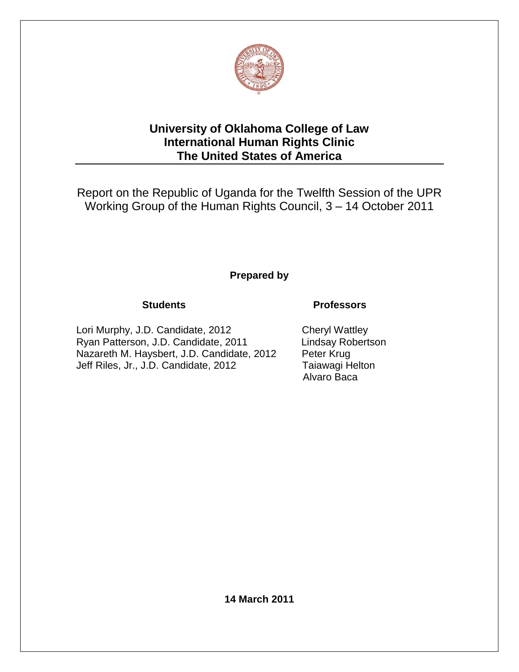

# **University of Oklahoma College of Law International Human Rights Clinic The United States of America**

Report on the Republic of Uganda for the Twelfth Session of the UPR Working Group of the Human Rights Council, 3 – 14 October 2011 Ĭ,

# **Prepared by**

Lori Murphy, J.D. Candidate, 2012 Cheryl Wattley Ryan Patterson, J.D. Candidate, 2011 Nazareth M. Haysbert, J.D. Candidate, 2012 Peter Krug Jeff Riles, Jr., J.D. Candidate, 2012 Taiawagi Helton

# **Students Professors**

Alvaro Baca

**14 March 2011**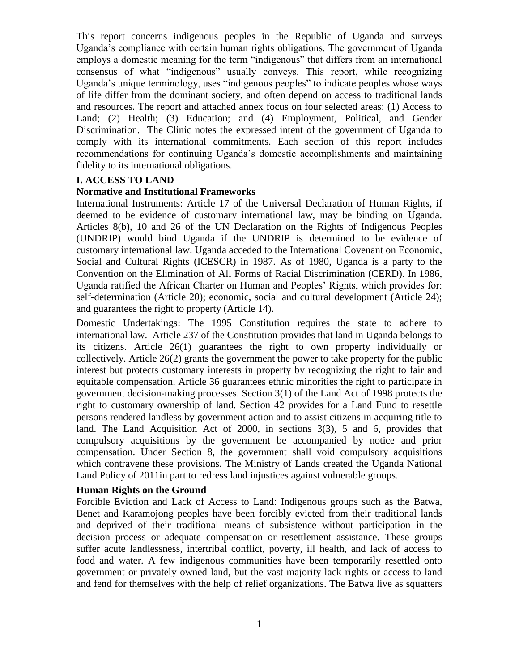This report concerns indigenous peoples in the Republic of Uganda and surveys Uganda's compliance with certain human rights obligations. The government of Uganda employs a domestic meaning for the term "indigenous" that differs from an international consensus of what "indigenous" usually conveys. This report, while recognizing Uganda's unique terminology, uses "indigenous peoples" to indicate peoples whose ways of life differ from the dominant society, and often depend on access to traditional lands and resources. The report and attached annex focus on four selected areas: (1) Access to Land; (2) Health; (3) Education; and (4) Employment, Political, and Gender Discrimination. The Clinic notes the expressed intent of the government of Uganda to comply with its international commitments. Each section of this report includes recommendations for continuing Uganda's domestic accomplishments and maintaining fidelity to its international obligations.

### **I. ACCESS TO LAND**

#### **Normative and Institutional Frameworks**

International Instruments: Article 17 of the Universal Declaration of Human Rights, if deemed to be evidence of customary international law, may be binding on Uganda. Articles 8(b), 10 and 26 of the UN Declaration on the Rights of Indigenous Peoples (UNDRIP) would bind Uganda if the UNDRIP is determined to be evidence of customary international law. Uganda acceded to the International Covenant on Economic, Social and Cultural Rights (ICESCR) in 1987. As of 1980, Uganda is a party to the Convention on the Elimination of All Forms of Racial Discrimination (CERD). In 1986, Uganda ratified the African Charter on Human and Peoples' Rights, which provides for: self-determination (Article 20); economic, social and cultural development (Article 24); and guarantees the right to property (Article 14).

Domestic Undertakings: The 1995 Constitution requires the state to adhere to international law. Article 237 of the Constitution provides that land in Uganda belongs to its citizens. Article 26(1) guarantees the right to own property individually or collectively. Article 26(2) grants the government the power to take property for the public interest but protects customary interests in property by recognizing the right to fair and equitable compensation. Article 36 guarantees ethnic minorities the right to participate in government decision-making processes. Section 3(1) of the Land Act of 1998 protects the right to customary ownership of land. Section 42 provides for a Land Fund to resettle persons rendered landless by government action and to assist citizens in acquiring title to land. The Land Acquisition Act of 2000, in sections 3(3), 5 and 6, provides that compulsory acquisitions by the government be accompanied by notice and prior compensation. Under Section 8, the government shall void compulsory acquisitions which contravene these provisions. The Ministry of Lands created the Uganda National Land Policy of 2011in part to redress land injustices against vulnerable groups.

#### **Human Rights on the Ground**

Forcible Eviction and Lack of Access to Land: Indigenous groups such as the Batwa, Benet and Karamojong peoples have been forcibly evicted from their traditional lands and deprived of their traditional means of subsistence without participation in the decision process or adequate compensation or resettlement assistance. These groups suffer acute landlessness, intertribal conflict, poverty, ill health, and lack of access to food and water. A few indigenous communities have been temporarily resettled onto government or privately owned land, but the vast majority lack rights or access to land and fend for themselves with the help of relief organizations. The Batwa live as squatters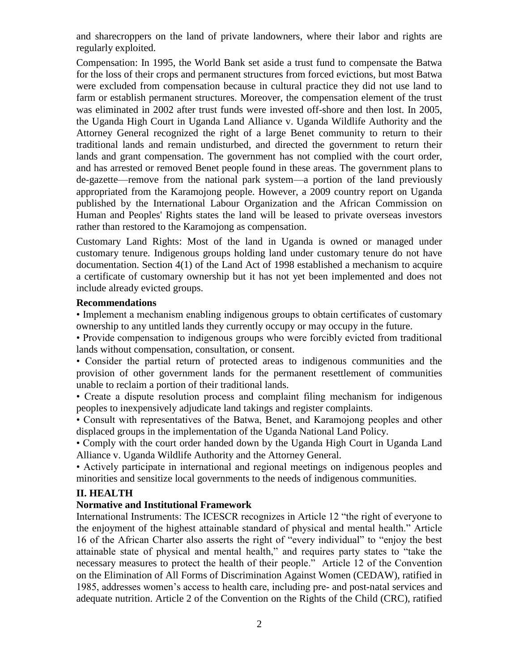and sharecroppers on the land of private landowners, where their labor and rights are regularly exploited.

Compensation: In 1995, the World Bank set aside a trust fund to compensate the Batwa for the loss of their crops and permanent structures from forced evictions, but most Batwa were excluded from compensation because in cultural practice they did not use land to farm or establish permanent structures. Moreover, the compensation element of the trust was eliminated in 2002 after trust funds were invested off-shore and then lost. In 2005, the Uganda High Court in Uganda Land Alliance v. Uganda Wildlife Authority and the Attorney General recognized the right of a large Benet community to return to their traditional lands and remain undisturbed, and directed the government to return their lands and grant compensation. The government has not complied with the court order, and has arrested or removed Benet people found in these areas. The government plans to de-gazette—remove from the national park system—a portion of the land previously appropriated from the Karamojong people. However, a 2009 country report on Uganda published by the International Labour Organization and the African Commission on Human and Peoples' Rights states the land will be leased to private overseas investors rather than restored to the Karamojong as compensation.

Customary Land Rights: Most of the land in Uganda is owned or managed under customary tenure. Indigenous groups holding land under customary tenure do not have documentation. Section 4(1) of the Land Act of 1998 established a mechanism to acquire a certificate of customary ownership but it has not yet been implemented and does not include already evicted groups.

#### **Recommendations**

• Implement a mechanism enabling indigenous groups to obtain certificates of customary ownership to any untitled lands they currently occupy or may occupy in the future.

• Provide compensation to indigenous groups who were forcibly evicted from traditional lands without compensation, consultation, or consent.

• Consider the partial return of protected areas to indigenous communities and the provision of other government lands for the permanent resettlement of communities unable to reclaim a portion of their traditional lands.

• Create a dispute resolution process and complaint filing mechanism for indigenous peoples to inexpensively adjudicate land takings and register complaints.

• Consult with representatives of the Batwa, Benet, and Karamojong peoples and other displaced groups in the implementation of the Uganda National Land Policy.

• Comply with the court order handed down by the Uganda High Court in Uganda Land Alliance v. Uganda Wildlife Authority and the Attorney General.

• Actively participate in international and regional meetings on indigenous peoples and minorities and sensitize local governments to the needs of indigenous communities.

## **II. HEALTH**

## **Normative and Institutional Framework**

International Instruments: The ICESCR recognizes in Article 12 "the right of everyone to the enjoyment of the highest attainable standard of physical and mental health." Article 16 of the African Charter also asserts the right of "every individual" to "enjoy the best attainable state of physical and mental health," and requires party states to "take the necessary measures to protect the health of their people." Article 12 of the Convention on the Elimination of All Forms of Discrimination Against Women (CEDAW), ratified in 1985, addresses women's access to health care, including pre- and post-natal services and adequate nutrition. Article 2 of the Convention on the Rights of the Child (CRC), ratified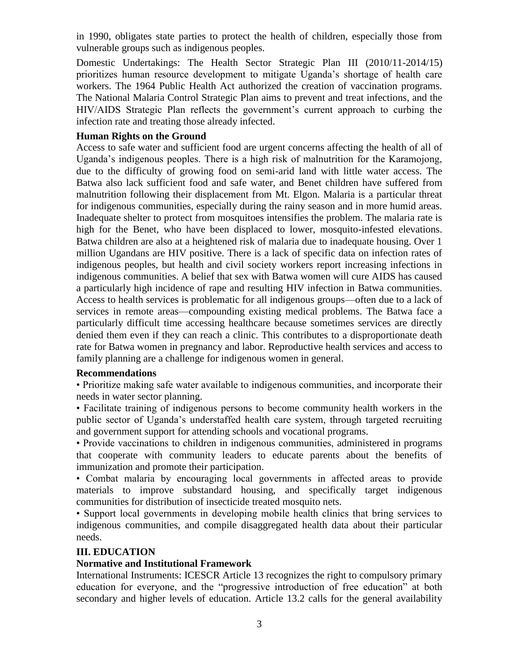in 1990, obligates state parties to protect the health of children, especially those from vulnerable groups such as indigenous peoples.

Domestic Undertakings: The Health Sector Strategic Plan III (2010/11-2014/15) prioritizes human resource development to mitigate Uganda's shortage of health care workers. The 1964 Public Health Act authorized the creation of vaccination programs. The National Malaria Control Strategic Plan aims to prevent and treat infections, and the HIV/AIDS Strategic Plan reflects the government's current approach to curbing the infection rate and treating those already infected.

#### **Human Rights on the Ground**

Access to safe water and sufficient food are urgent concerns affecting the health of all of Uganda's indigenous peoples. There is a high risk of malnutrition for the Karamojong, due to the difficulty of growing food on semi-arid land with little water access. The Batwa also lack sufficient food and safe water, and Benet children have suffered from malnutrition following their displacement from Mt. Elgon. Malaria is a particular threat for indigenous communities, especially during the rainy season and in more humid areas. Inadequate shelter to protect from mosquitoes intensifies the problem. The malaria rate is high for the Benet, who have been displaced to lower, mosquito-infested elevations. Batwa children are also at a heightened risk of malaria due to inadequate housing. Over 1 million Ugandans are HIV positive. There is a lack of specific data on infection rates of indigenous peoples, but health and civil society workers report increasing infections in indigenous communities. A belief that sex with Batwa women will cure AIDS has caused a particularly high incidence of rape and resulting HIV infection in Batwa communities. Access to health services is problematic for all indigenous groups—often due to a lack of services in remote areas—compounding existing medical problems. The Batwa face a particularly difficult time accessing healthcare because sometimes services are directly denied them even if they can reach a clinic. This contributes to a disproportionate death rate for Batwa women in pregnancy and labor. Reproductive health services and access to family planning are a challenge for indigenous women in general.

#### **Recommendations**

• Prioritize making safe water available to indigenous communities, and incorporate their needs in water sector planning.

• Facilitate training of indigenous persons to become community health workers in the public sector of Uganda's understaffed health care system, through targeted recruiting and government support for attending schools and vocational programs.

• Provide vaccinations to children in indigenous communities, administered in programs that cooperate with community leaders to educate parents about the benefits of immunization and promote their participation.

• Combat malaria by encouraging local governments in affected areas to provide materials to improve substandard housing, and specifically target indigenous communities for distribution of insecticide treated mosquito nets.

• Support local governments in developing mobile health clinics that bring services to indigenous communities, and compile disaggregated health data about their particular needs.

#### **III. EDUCATION**

#### **Normative and Institutional Framework**

International Instruments: ICESCR Article 13 recognizes the right to compulsory primary education for everyone, and the "progressive introduction of free education" at both secondary and higher levels of education. Article 13.2 calls for the general availability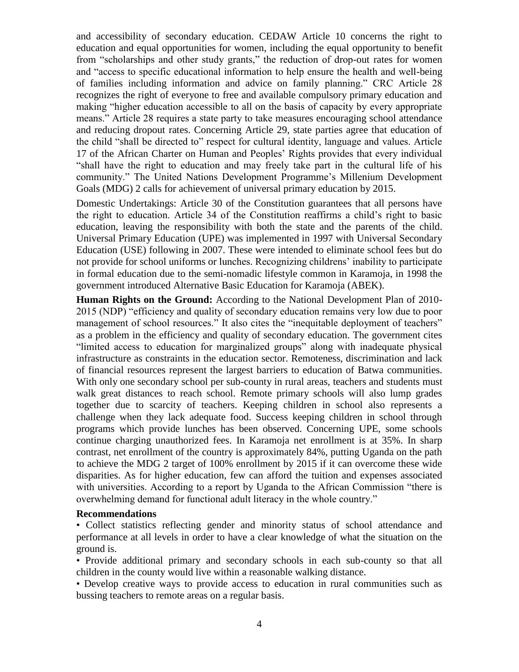and accessibility of secondary education. CEDAW Article 10 concerns the right to education and equal opportunities for women, including the equal opportunity to benefit from "scholarships and other study grants," the reduction of drop-out rates for women and "access to specific educational information to help ensure the health and well-being of families including information and advice on family planning." CRC Article 28 recognizes the right of everyone to free and available compulsory primary education and making "higher education accessible to all on the basis of capacity by every appropriate means." Article 28 requires a state party to take measures encouraging school attendance and reducing dropout rates. Concerning Article 29, state parties agree that education of the child "shall be directed to" respect for cultural identity, language and values. Article 17 of the African Charter on Human and Peoples' Rights provides that every individual "shall have the right to education and may freely take part in the cultural life of his community." The United Nations Development Programme's Millenium Development Goals (MDG) 2 calls for achievement of universal primary education by 2015.

Domestic Undertakings: Article 30 of the Constitution guarantees that all persons have the right to education. Article 34 of the Constitution reaffirms a child's right to basic education, leaving the responsibility with both the state and the parents of the child. Universal Primary Education (UPE) was implemented in 1997 with Universal Secondary Education (USE) following in 2007. These were intended to eliminate school fees but do not provide for school uniforms or lunches. Recognizing childrens' inability to participate in formal education due to the semi-nomadic lifestyle common in Karamoja, in 1998 the government introduced Alternative Basic Education for Karamoja (ABEK).

**Human Rights on the Ground:** According to the National Development Plan of 2010- 2015 (NDP) "efficiency and quality of secondary education remains very low due to poor management of school resources." It also cites the "inequitable deployment of teachers" as a problem in the efficiency and quality of secondary education. The government cites "limited access to education for marginalized groups" along with inadequate physical infrastructure as constraints in the education sector. Remoteness, discrimination and lack of financial resources represent the largest barriers to education of Batwa communities. With only one secondary school per sub-county in rural areas, teachers and students must walk great distances to reach school. Remote primary schools will also lump grades together due to scarcity of teachers. Keeping children in school also represents a challenge when they lack adequate food. Success keeping children in school through programs which provide lunches has been observed. Concerning UPE, some schools continue charging unauthorized fees. In Karamoja net enrollment is at 35%. In sharp contrast, net enrollment of the country is approximately 84%, putting Uganda on the path to achieve the MDG 2 target of 100% enrollment by 2015 if it can overcome these wide disparities. As for higher education, few can afford the tuition and expenses associated with universities. According to a report by Uganda to the African Commission "there is overwhelming demand for functional adult literacy in the whole country."

#### **Recommendations**

• Collect statistics reflecting gender and minority status of school attendance and performance at all levels in order to have a clear knowledge of what the situation on the ground is.

• Provide additional primary and secondary schools in each sub-county so that all children in the county would live within a reasonable walking distance.

• Develop creative ways to provide access to education in rural communities such as bussing teachers to remote areas on a regular basis.